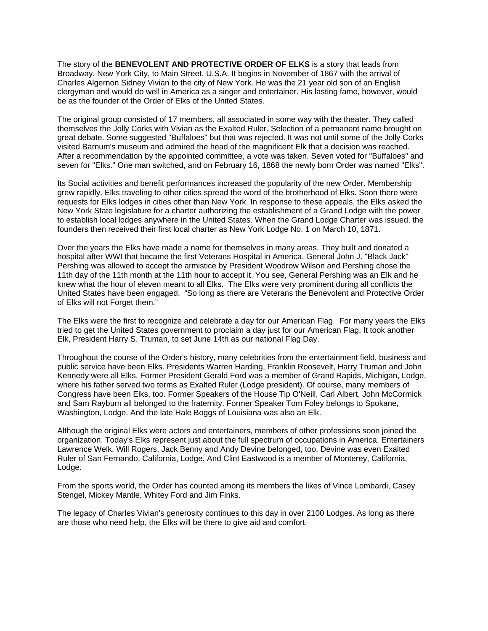The story of the **BENEVOLENT AND PROTECTIVE ORDER OF ELKS** is a story that leads from Broadway, New York City, to Main Street, U.S.A. It begins in November of 1867 with the arrival of Charles Algernon Sidney Vivian to the city of New York. He was the 21 year old son of an English clergyman and would do well in America as a singer and entertainer. His lasting fame, however, would be as the founder of the Order of Elks of the United States.

The original group consisted of 17 members, all associated in some way with the theater. They called themselves the Jolly Corks with Vivian as the Exalted Ruler. Selection of a permanent name brought on great debate. Some suggested "Buffaloes" but that was rejected. It was not until some of the Jolly Corks visited Barnum's museum and admired the head of the magnificent Elk that a decision was reached. After a recommendation by the appointed committee, a vote was taken. Seven voted for "Buffaloes" and seven for "Elks." One man switched, and on February 16, 1868 the newly born Order was named "Elks".

Its Social activities and benefit performances increased the popularity of the new Order. Membership grew rapidly. Elks traveling to other cities spread the word of the brotherhood of Elks. Soon there were requests for Elks lodges in cities other than New York. In response to these appeals, the Elks asked the New York State legislature for a charter authorizing the establishment of a Grand Lodge with the power to establish local lodges anywhere in the United States. When the Grand Lodge Charter was issued, the founders then received their first local charter as New York Lodge No. 1 on March 10, 1871.

Over the years the Elks have made a name for themselves in many areas. They built and donated a hospital after WWI that became the first Veterans Hospital in America. General John J. "Black Jack" Pershing was allowed to accept the armistice by President Woodrow Wilson and Pershing chose the 11th day of the 11th month at the 11th hour to accept it. You see, General Pershing was an Elk and he knew what the hour of eleven meant to all Elks. The Elks were very prominent during all conflicts the United States have been engaged. "So long as there are Veterans the Benevolent and Protective Order of Elks will not Forget them."

The Elks were the first to recognize and celebrate a day for our American Flag. For many years the Elks tried to get the United States government to proclaim a day just for our American Flag. It took another Elk, President Harry S. Truman, to set June 14th as our national Flag Day.

Throughout the course of the Order's history, many celebrities from the entertainment field, business and public service have been Elks. Presidents Warren Harding, Franklin Roosevelt, Harry Truman and John Kennedy were all Elks. Former President Gerald Ford was a member of Grand Rapids, Michigan, Lodge, where his father served two terms as Exalted Ruler (Lodge president). Of course, many members of Congress have been Elks, too. Former Speakers of the House Tip O'Neill, Carl Albert, John McCormick and Sam Rayburn all belonged to the fraternity. Former Speaker Tom Foley belongs to Spokane, Washington, Lodge. And the late Hale Boggs of Louisiana was also an Elk.

Although the original Elks were actors and entertainers, members of other professions soon joined the organization. Today's Elks represent just about the full spectrum of occupations in America. Entertainers Lawrence Welk, Will Rogers, Jack Benny and Andy Devine belonged, too. Devine was even Exalted Ruler of San Fernando, California, Lodge. And Clint Eastwood is a member of Monterey, California, Lodge.

From the sports world, the Order has counted among its members the likes of Vince Lombardi, Casey Stengel, Mickey Mantle, Whitey Ford and Jim Finks.

The legacy of Charles Vivian's generosity continues to this day in over 2100 Lodges. As long as there are those who need help, the Elks will be there to give aid and comfort.